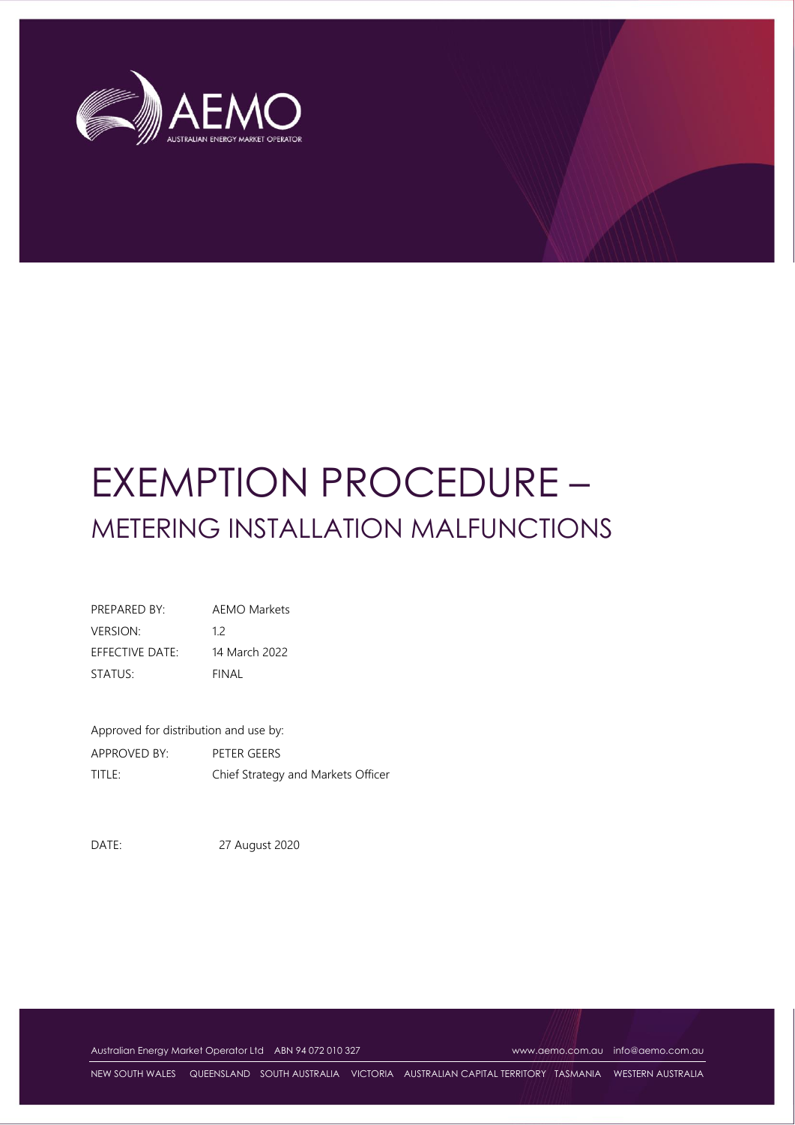

# EXEMPTION PROCEDURE – METERING INSTALLATION MALFUNCTIONS

| PREPARED BY:        | <b>AEMO Markets</b> |
|---------------------|---------------------|
| <b>VERSION:</b>     | 12                  |
| EFFECTIVE DATE:     | 14 March 2022       |
| STATUS <sup>.</sup> | FINAL               |

| Approved for distribution and use by: |                                    |  |  |
|---------------------------------------|------------------------------------|--|--|
| <b>APPROVED BY:</b>                   | PETER GEERS                        |  |  |
| title:                                | Chief Strategy and Markets Officer |  |  |

DATE: 27 August 2020

Australian Energy Market Operator Ltd ABN 94 072 010 327 [www.aemo.com.au](http://www.aemo.com.au/) [info@aemo.com.au](mailto:info@aemo.com.au)

NEW SOUTH WALES QUEENSLAND SOUTH AUSTRALIA VICTORIA AUSTRALIAN CAPITAL TERRITORY TASMANIA WESTERN AUSTRALIA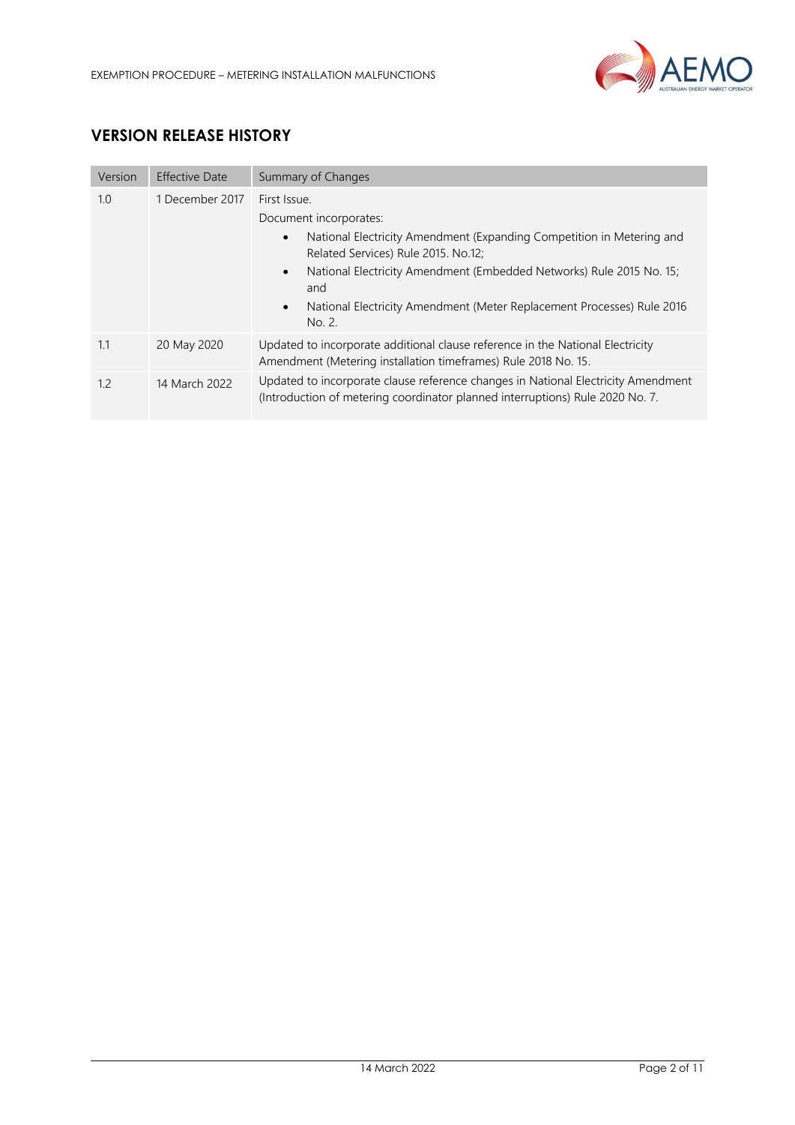

# **VERSION RELEASE HISTORY**

| Version | <b>Effective Date</b> | Summary of Changes                                                                                                                                                                                                                                                                                                                                               |  |  |
|---------|-----------------------|------------------------------------------------------------------------------------------------------------------------------------------------------------------------------------------------------------------------------------------------------------------------------------------------------------------------------------------------------------------|--|--|
| 1.0     | 1 December 2017       | First Issue.<br>Document incorporates:<br>National Electricity Amendment (Expanding Competition in Metering and<br>$\bullet$<br>Related Services) Rule 2015. No.12;<br>National Electricity Amendment (Embedded Networks) Rule 2015 No. 15;<br>$\bullet$<br>and<br>National Electricity Amendment (Meter Replacement Processes) Rule 2016<br>$\bullet$<br>No. 2. |  |  |
| 1.1     | 20 May 2020           | Updated to incorporate additional clause reference in the National Electricity<br>Amendment (Metering installation timeframes) Rule 2018 No. 15.                                                                                                                                                                                                                 |  |  |
| 1.2     | 14 March 2022         | Updated to incorporate clause reference changes in National Electricity Amendment<br>(Introduction of metering coordinator planned interruptions) Rule 2020 No. 7.                                                                                                                                                                                               |  |  |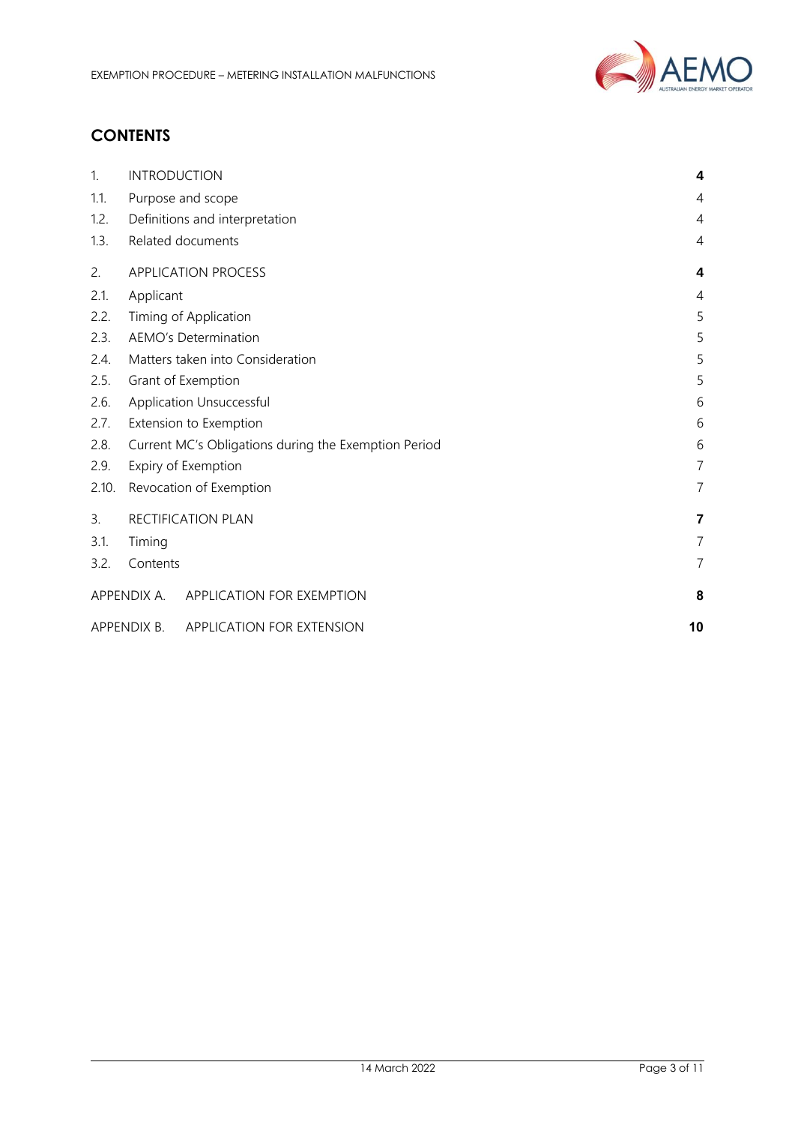

# **CONTENTS**

| 1.    | <b>INTRODUCTION</b>                                       | 4              |  |
|-------|-----------------------------------------------------------|----------------|--|
| 1.1.  | Purpose and scope                                         | 4              |  |
| 1.2.  | Definitions and interpretation                            | $\overline{4}$ |  |
| 1.3.  | Related documents                                         | 4              |  |
| 2.    | <b>APPLICATION PROCESS</b>                                | 4              |  |
| 2.1.  | Applicant                                                 | $\overline{4}$ |  |
| 2.2.  | Timing of Application                                     | 5              |  |
| 2.3.  | <b>AEMO's Determination</b>                               | 5              |  |
| 2.4.  | Matters taken into Consideration                          | 5              |  |
| 2.5.  | Grant of Exemption                                        | 5              |  |
| 2.6.  | Application Unsuccessful                                  |                |  |
| 2.7.  | Extension to Exemption<br>6                               |                |  |
| 2.8.  | Current MC's Obligations during the Exemption Period<br>6 |                |  |
| 2.9.  | $\overline{7}$<br>Expiry of Exemption                     |                |  |
| 2.10. | Revocation of Exemption                                   | $\overline{7}$ |  |
| 3.    | RECTIFICATION PLAN                                        | 7              |  |
| 3.1.  | Timing                                                    | 7              |  |
| 3.2.  | Contents                                                  | $\overline{7}$ |  |
|       | APPENDIX A. APPLICATION FOR EXEMPTION                     | 8              |  |
|       | APPENDIX B.<br>APPLICATION FOR EXTENSION                  | 10             |  |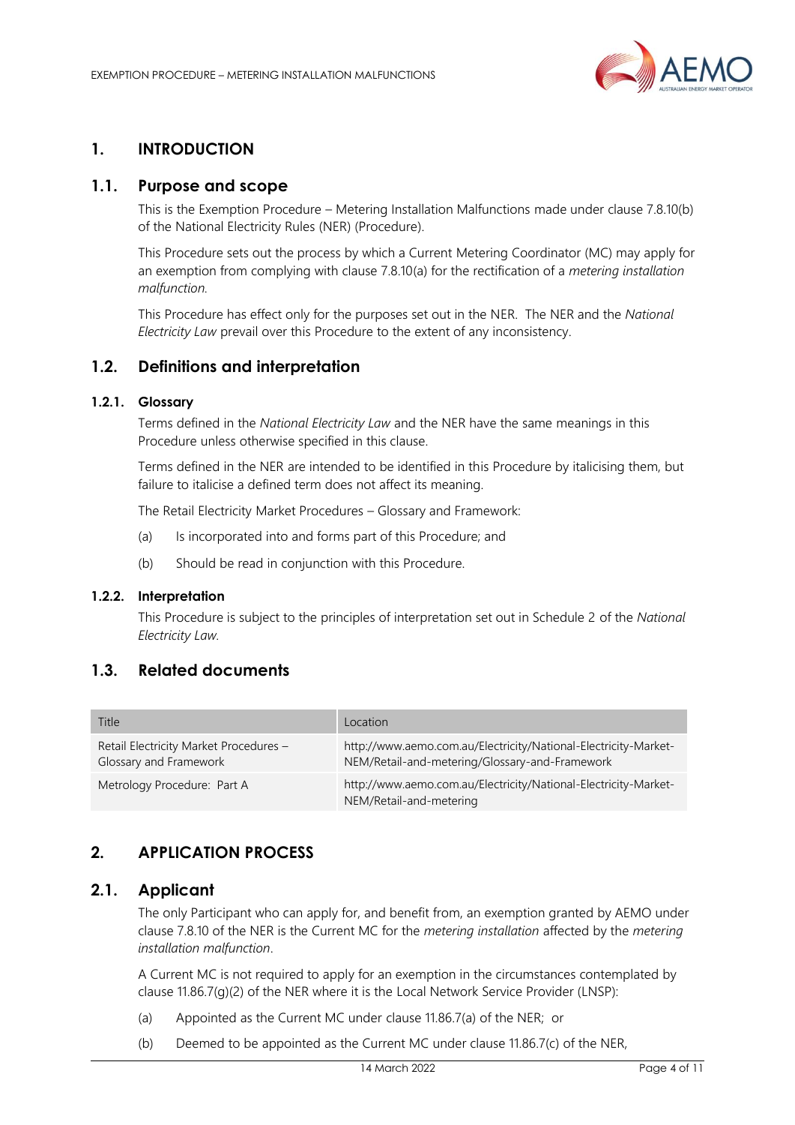

## <span id="page-3-0"></span>**1. INTRODUCTION**

## <span id="page-3-1"></span>**1.1. Purpose and scope**

This is the Exemption Procedure – Metering Installation Malfunctions made under clause 7.8.10(b) of the National Electricity Rules (NER) (Procedure).

This Procedure sets out the process by which a Current Metering Coordinator (MC) may apply for an exemption from complying with clause 7.8.10(a) for the rectification of a *metering installation malfunction.*

This Procedure has effect only for the purposes set out in the NER. The NER and the *National Electricity Law* prevail over this Procedure to the extent of any inconsistency.

#### <span id="page-3-2"></span>**1.2. Definitions and interpretation**

#### **1.2.1. Glossary**

Terms defined in the *National Electricity Law* and the NER have the same meanings in this Procedure unless otherwise specified in this clause.

Terms defined in the NER are intended to be identified in this Procedure by italicising them, but failure to italicise a defined term does not affect its meaning.

The Retail Electricity Market Procedures – Glossary and Framework:

- (a) Is incorporated into and forms part of this Procedure; and
- (b) Should be read in conjunction with this Procedure.

#### **1.2.2. Interpretation**

This Procedure is subject to the principles of interpretation set out in Schedule 2 of the *National Electricity Law.*

## <span id="page-3-3"></span>**1.3. Related documents**

| Title                                                            | Location                                                                                                          |
|------------------------------------------------------------------|-------------------------------------------------------------------------------------------------------------------|
| Retail Electricity Market Procedures -<br>Glossary and Framework | http://www.aemo.com.au/Electricity/National-Electricity-Market-<br>NEM/Retail-and-metering/Glossary-and-Framework |
| Metrology Procedure: Part A                                      | http://www.aemo.com.au/Electricity/National-Electricity-Market-<br>NEM/Retail-and-metering                        |

## <span id="page-3-4"></span>**2. APPLICATION PROCESS**

#### <span id="page-3-5"></span>**2.1. Applicant**

The only Participant who can apply for, and benefit from, an exemption granted by AEMO under clause 7.8.10 of the NER is the Current MC for the *metering installation* affected by the *metering installation malfunction*.

A Current MC is not required to apply for an exemption in the circumstances contemplated by clause 11.86.7(g)(2) of the NER where it is the Local Network Service Provider (LNSP):

- (a) Appointed as the Current MC under clause 11.86.7(a) of the NER; or
- (b) Deemed to be appointed as the Current MC under clause 11.86.7(c) of the NER,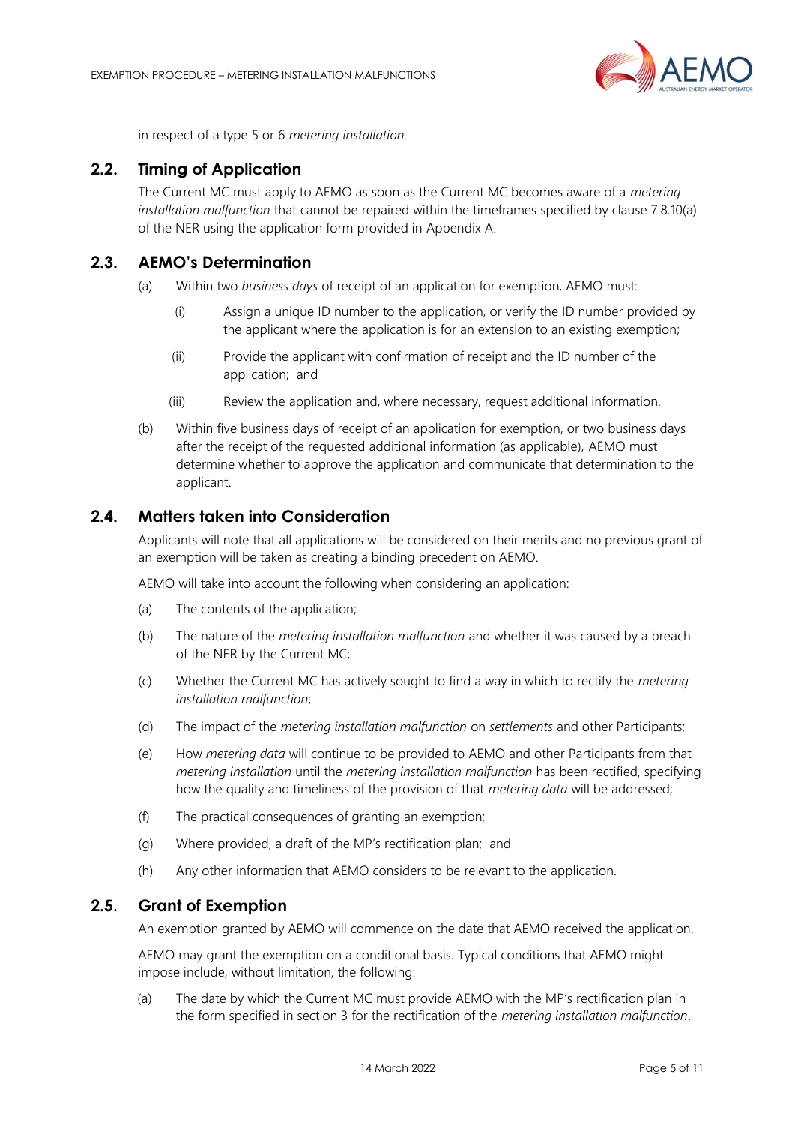

in respect of a type 5 or 6 *metering installation.*

## <span id="page-4-0"></span>**2.2. Timing of Application**

The Current MC must apply to AEMO as soon as the Current MC becomes aware of a *metering installation malfunction* that cannot be repaired within the timeframes specified by clause 7.8.10(a) of the NER using the application form provided in Appendix A.

## <span id="page-4-1"></span>**2.3. AEMO's Determination**

- (a) Within two *business days* of receipt of an application for exemption, AEMO must:
	- (i) Assign a unique ID number to the application, or verify the ID number provided by the applicant where the application is for an extension to an existing exemption;
	- (ii) Provide the applicant with confirmation of receipt and the ID number of the application; and
	- (iii) Review the application and, where necessary, request additional information.
- (b) Within five business days of receipt of an application for exemption, or two business days after the receipt of the requested additional information (as applicable), AEMO must determine whether to approve the application and communicate that determination to the applicant.

#### <span id="page-4-2"></span>**2.4. Matters taken into Consideration**

Applicants will note that all applications will be considered on their merits and no previous grant of an exemption will be taken as creating a binding precedent on AEMO.

AEMO will take into account the following when considering an application:

- (a) The contents of the application;
- (b) The nature of the *metering installation malfunction* and whether it was caused by a breach of the NER by the Current MC;
- (c) Whether the Current MC has actively sought to find a way in which to rectify the *metering installation malfunction*;
- (d) The impact of the *metering installation malfunction* on *settlements* and other Participants;
- (e) How *metering data* will continue to be provided to AEMO and other Participants from that *metering installation* until the *metering installation malfunction* has been rectified, specifying how the quality and timeliness of the provision of that *metering data* will be addressed;
- (f) The practical consequences of granting an exemption;
- (g) Where provided, a draft of the MP's rectification plan; and
- (h) Any other information that AEMO considers to be relevant to the application.

#### <span id="page-4-3"></span>**2.5. Grant of Exemption**

An exemption granted by AEMO will commence on the date that AEMO received the application.

AEMO may grant the exemption on a conditional basis. Typical conditions that AEMO might impose include, without limitation, the following:

(a) The date by which the Current MC must provide AEMO with the MP's rectification plan in the form specified in section 3 for the rectification of the *metering installation malfunction*.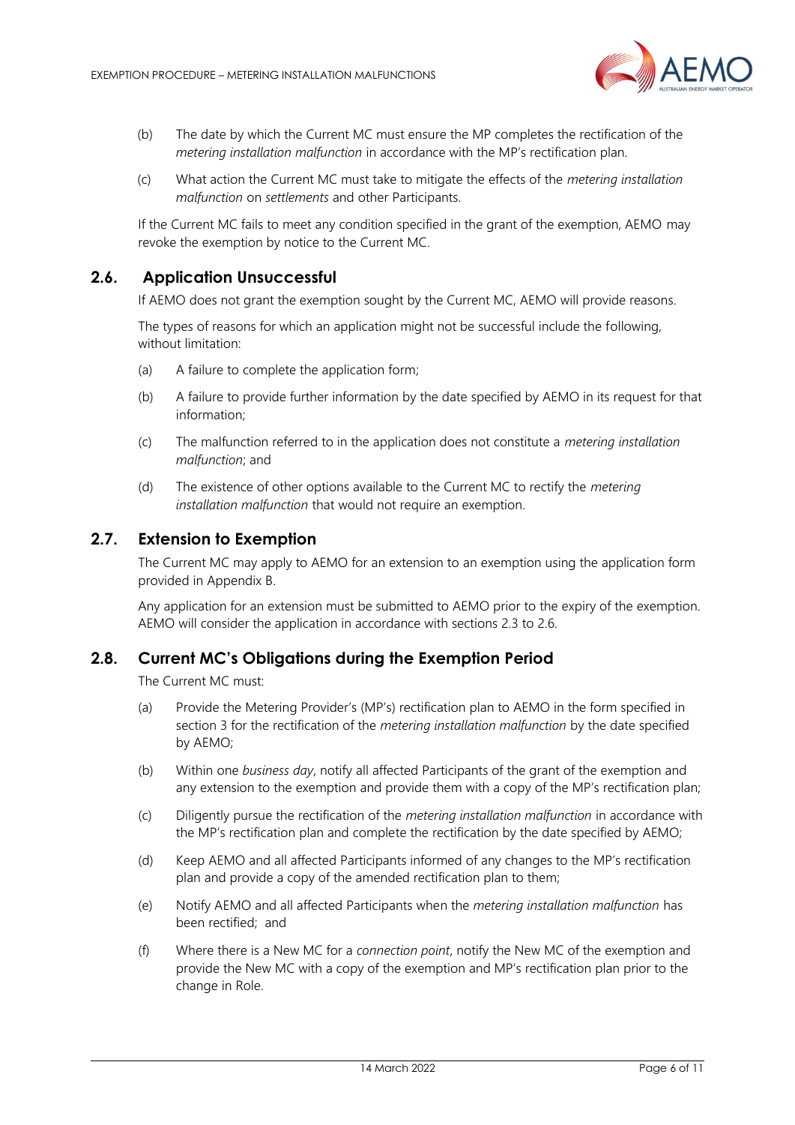

- (b) The date by which the Current MC must ensure the MP completes the rectification of the *metering installation malfunction* in accordance with the MP's rectification plan.
- (c) What action the Current MC must take to mitigate the effects of the *metering installation malfunction* on *settlements* and other Participants.

If the Current MC fails to meet any condition specified in the grant of the exemption, AEMO may revoke the exemption by notice to the Current MC.

#### **2.6. Application Unsuccessful**

<span id="page-5-0"></span>If AEMO does not grant the exemption sought by the Current MC, AEMO will provide reasons.

The types of reasons for which an application might not be successful include the following, without limitation:

- (a) A failure to complete the application form;
- (b) A failure to provide further information by the date specified by AEMO in its request for that information;
- (c) The malfunction referred to in the application does not constitute a *metering installation malfunction*; and
- (d) The existence of other options available to the Current MC to rectify the *metering installation malfunction* that would not require an exemption.

#### <span id="page-5-1"></span>**2.7. Extension to Exemption**

The Current MC may apply to AEMO for an extension to an exemption using the application form provided in Appendix B.

Any application for an extension must be submitted to AEMO prior to the expiry of the exemption. AEMO will consider the application in accordance with sections 2.3 to 2.6.

#### <span id="page-5-2"></span>**2.8. Current MC's Obligations during the Exemption Period**

The Current MC must:

- (a) Provide the Metering Provider's (MP's) rectification plan to AEMO in the form specified in section 3 for the rectification of the *metering installation malfunction* by the date specified by AEMO;
- (b) Within one *business day*, notify all affected Participants of the grant of the exemption and any extension to the exemption and provide them with a copy of the MP's rectification plan;
- (c) Diligently pursue the rectification of the *metering installation malfunction* in accordance with the MP's rectification plan and complete the rectification by the date specified by AEMO;
- (d) Keep AEMO and all affected Participants informed of any changes to the MP's rectification plan and provide a copy of the amended rectification plan to them;
- (e) Notify AEMO and all affected Participants when the *metering installation malfunction* has been rectified; and
- (f) Where there is a New MC for a *connection point*, notify the New MC of the exemption and provide the New MC with a copy of the exemption and MP's rectification plan prior to the change in Role.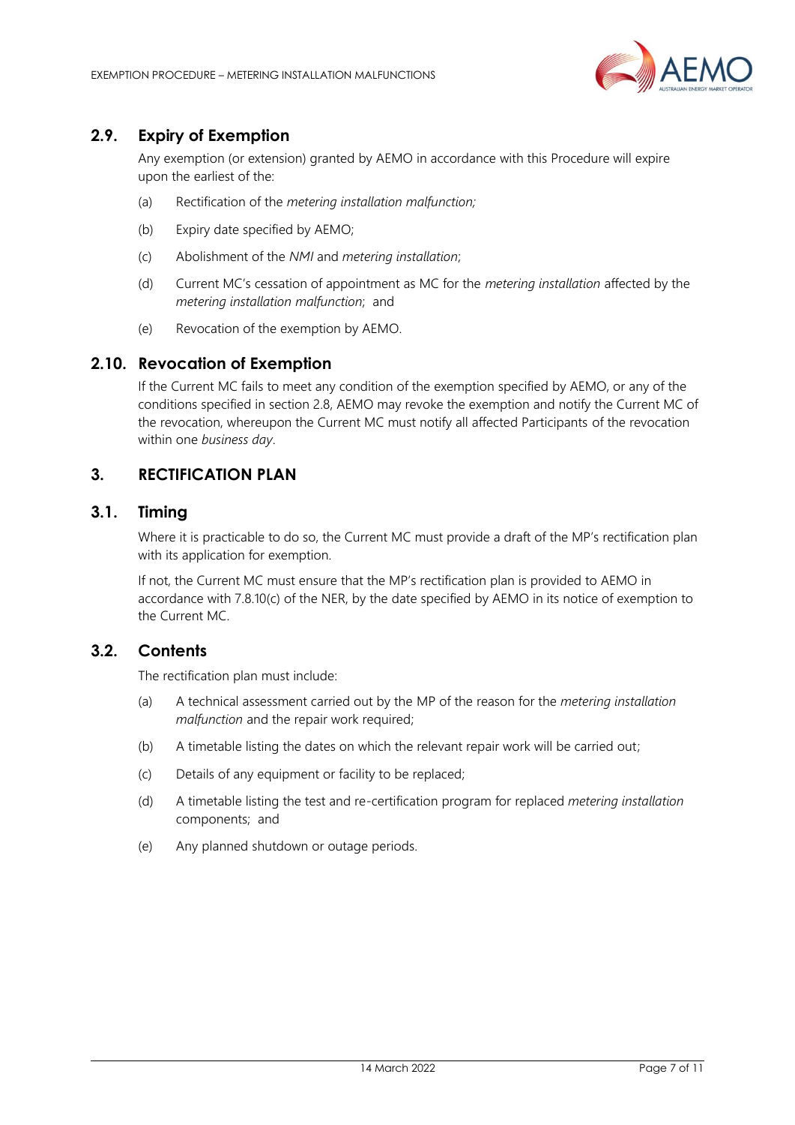

## <span id="page-6-0"></span>**2.9. Expiry of Exemption**

Any exemption (or extension) granted by AEMO in accordance with this Procedure will expire upon the earliest of the:

- (a) Rectification of the *metering installation malfunction;*
- (b) Expiry date specified by AEMO;
- (c) Abolishment of the *NMI* and *metering installation*;
- (d) Current MC's cessation of appointment as MC for the *metering installation* affected by the *metering installation malfunction*; and
- (e) Revocation of the exemption by AEMO.

## <span id="page-6-1"></span>**2.10. Revocation of Exemption**

If the Current MC fails to meet any condition of the exemption specified by AEMO, or any of the conditions specified in section 2.8, AEMO may revoke the exemption and notify the Current MC of the revocation, whereupon the Current MC must notify all affected Participants of the revocation within one *business day*.

## <span id="page-6-2"></span>**3. RECTIFICATION PLAN**

## <span id="page-6-3"></span>**3.1. Timing**

Where it is practicable to do so, the Current MC must provide a draft of the MP's rectification plan with its application for exemption.

If not, the Current MC must ensure that the MP's rectification plan is provided to AEMO in accordance with 7.8.10(c) of the NER, by the date specified by AEMO in its notice of exemption to the Current MC.

#### <span id="page-6-4"></span>**3.2. Contents**

The rectification plan must include:

- (a) A technical assessment carried out by the MP of the reason for the *metering installation malfunction* and the repair work required;
- (b) A timetable listing the dates on which the relevant repair work will be carried out;
- (c) Details of any equipment or facility to be replaced;
- (d) A timetable listing the test and re-certification program for replaced *metering installation* components; and
- (e) Any planned shutdown or outage periods.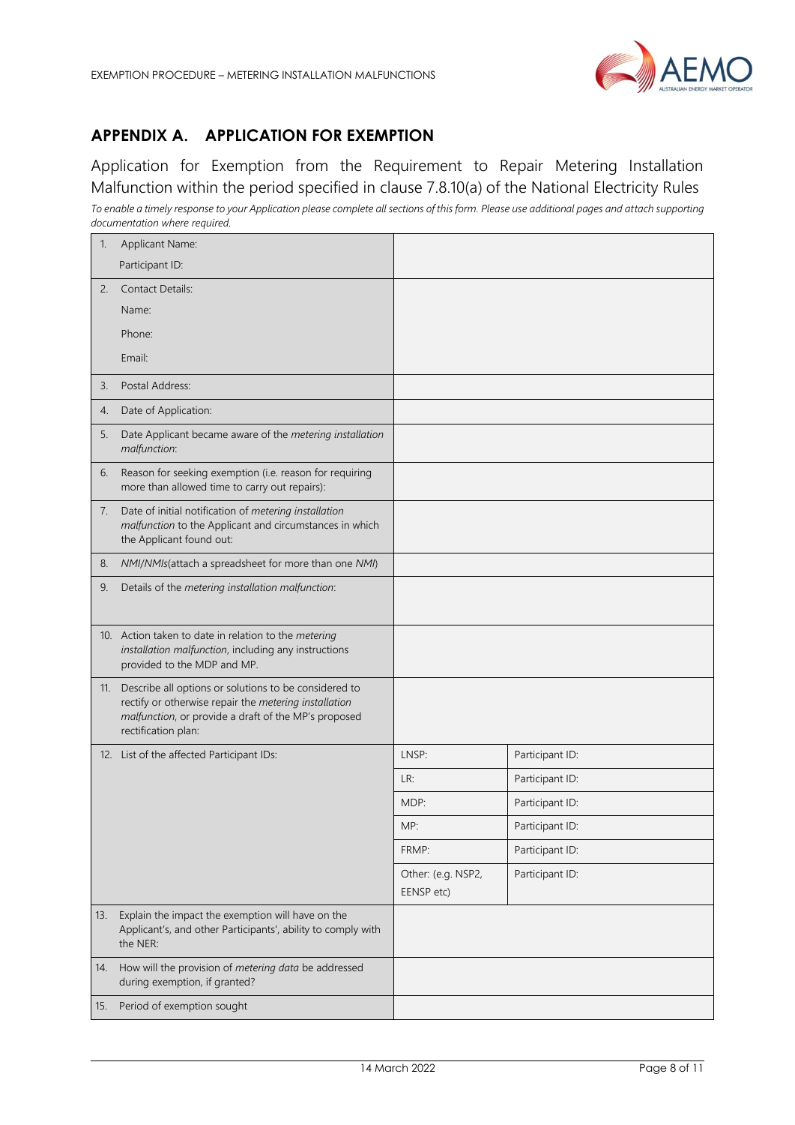

## <span id="page-7-0"></span>**APPENDIX A. APPLICATION FOR EXEMPTION**

Application for Exemption from the Requirement to Repair Metering Installation Malfunction within the period specified in clause 7.8.10(a) of the National Electricity Rules *To enable a timely response to your Application please complete all sections of this form. Please use additional pages and attach supporting documentation where required.*

| 1.  | Applicant Name:                                                                                                                                                                               |                                  |                 |
|-----|-----------------------------------------------------------------------------------------------------------------------------------------------------------------------------------------------|----------------------------------|-----------------|
|     | Participant ID:                                                                                                                                                                               |                                  |                 |
| 2.  | <b>Contact Details:</b>                                                                                                                                                                       |                                  |                 |
|     | Name:                                                                                                                                                                                         |                                  |                 |
|     | Phone:                                                                                                                                                                                        |                                  |                 |
|     | Email:                                                                                                                                                                                        |                                  |                 |
| 3.  | Postal Address:                                                                                                                                                                               |                                  |                 |
| 4.  | Date of Application:                                                                                                                                                                          |                                  |                 |
| 5.  | Date Applicant became aware of the metering installation<br>malfunction:                                                                                                                      |                                  |                 |
| 6.  | Reason for seeking exemption (i.e. reason for requiring<br>more than allowed time to carry out repairs):                                                                                      |                                  |                 |
| 7.  | Date of initial notification of metering installation<br>malfunction to the Applicant and circumstances in which<br>the Applicant found out:                                                  |                                  |                 |
| 8.  | NMI/NMIs(attach a spreadsheet for more than one NMI)                                                                                                                                          |                                  |                 |
| 9.  | Details of the metering installation malfunction:                                                                                                                                             |                                  |                 |
|     | 10. Action taken to date in relation to the metering<br>installation malfunction, including any instructions<br>provided to the MDP and MP.                                                   |                                  |                 |
| 11. | Describe all options or solutions to be considered to<br>rectify or otherwise repair the metering installation<br>malfunction, or provide a draft of the MP's proposed<br>rectification plan: |                                  |                 |
|     | 12. List of the affected Participant IDs:                                                                                                                                                     | LNSP:                            | Participant ID: |
|     |                                                                                                                                                                                               | LR:                              | Participant ID: |
|     |                                                                                                                                                                                               | MDP:                             | Participant ID: |
|     |                                                                                                                                                                                               | MP:                              | Participant ID: |
|     |                                                                                                                                                                                               | FRMP:                            | Participant ID: |
|     |                                                                                                                                                                                               | Other: (e.g. NSP2,<br>EENSP etc) | Participant ID: |
| 13. | Explain the impact the exemption will have on the<br>Applicant's, and other Participants', ability to comply with<br>the NER:                                                                 |                                  |                 |
| 14. | How will the provision of metering data be addressed<br>during exemption, if granted?                                                                                                         |                                  |                 |
| 15. | Period of exemption sought                                                                                                                                                                    |                                  |                 |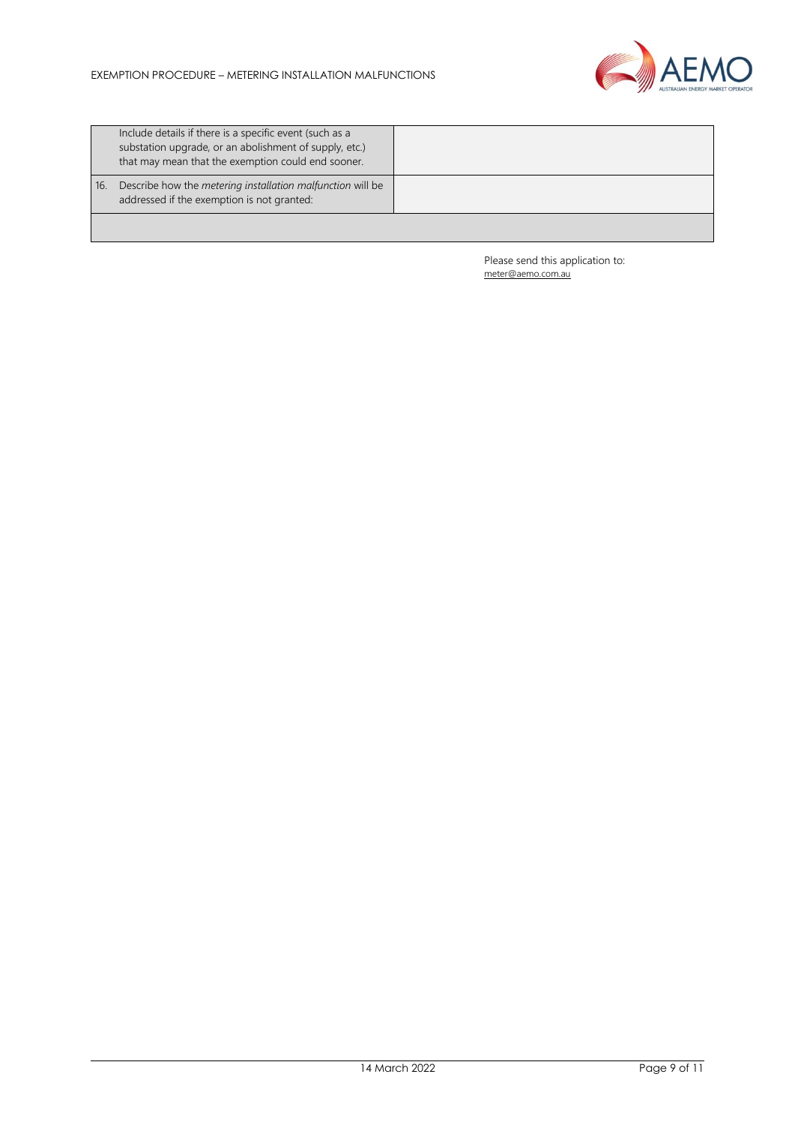

|     | Include details if there is a specific event (such as a<br>substation upgrade, or an abolishment of supply, etc.)<br>that may mean that the exemption could end sooner. |  |
|-----|-------------------------------------------------------------------------------------------------------------------------------------------------------------------------|--|
| 16. | Describe how the <i>metering installation malfunction</i> will be<br>addressed if the exemption is not granted:                                                         |  |
|     |                                                                                                                                                                         |  |

Please send this application to: [meter@aemo.com.au](mailto:meter@nemmco.com.au)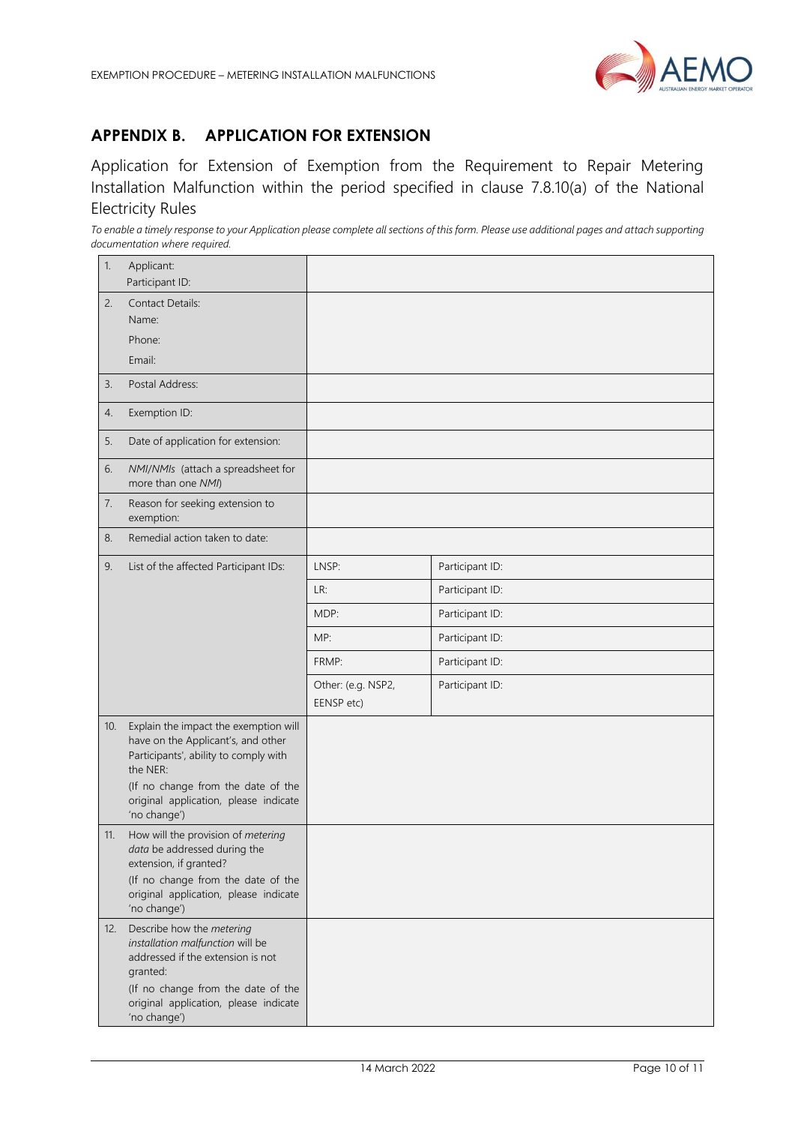

## <span id="page-9-0"></span>**APPENDIX B. APPLICATION FOR EXTENSION**

Application for Extension of Exemption from the Requirement to Repair Metering Installation Malfunction within the period specified in clause 7.8.10(a) of the National Electricity Rules

*To enable a timely response to your Application please complete all sections of this form. Please use additional pages and attach supporting documentation where required.* 

| 1.  | Applicant:<br>Participant ID:                                                                                                                                                                                                   |                                  |                 |
|-----|---------------------------------------------------------------------------------------------------------------------------------------------------------------------------------------------------------------------------------|----------------------------------|-----------------|
| 2.  | <b>Contact Details:</b><br>Name:<br>Phone:<br>Email:                                                                                                                                                                            |                                  |                 |
| 3.  | Postal Address:                                                                                                                                                                                                                 |                                  |                 |
| 4.  | Exemption ID:                                                                                                                                                                                                                   |                                  |                 |
| 5.  | Date of application for extension:                                                                                                                                                                                              |                                  |                 |
| 6.  | NMI/NMIs (attach a spreadsheet for<br>more than one NMI)                                                                                                                                                                        |                                  |                 |
| 7.  | Reason for seeking extension to<br>exemption:                                                                                                                                                                                   |                                  |                 |
| 8.  | Remedial action taken to date:                                                                                                                                                                                                  |                                  |                 |
| 9.  | List of the affected Participant IDs:                                                                                                                                                                                           | LNSP:                            | Participant ID: |
|     |                                                                                                                                                                                                                                 | LR:                              | Participant ID: |
|     |                                                                                                                                                                                                                                 | MDP:                             | Participant ID: |
|     |                                                                                                                                                                                                                                 | MP:                              | Participant ID: |
|     |                                                                                                                                                                                                                                 | FRMP:                            | Participant ID: |
|     |                                                                                                                                                                                                                                 | Other: (e.g. NSP2,<br>EENSP etc) | Participant ID: |
| 10. | Explain the impact the exemption will<br>have on the Applicant's, and other<br>Participants', ability to comply with<br>the NER:<br>(If no change from the date of the<br>original application, please indicate<br>'no change') |                                  |                 |
| 11. | How will the provision of metering<br>data be addressed during the<br>extension, if granted?<br>(If no change from the date of the                                                                                              |                                  |                 |
|     | original application, please indicate<br>'no change')                                                                                                                                                                           |                                  |                 |
| 12. | Describe how the metering<br>installation malfunction will be<br>addressed if the extension is not<br>granted:<br>(If no change from the date of the<br>original application, please indicate<br>'no change')                   |                                  |                 |